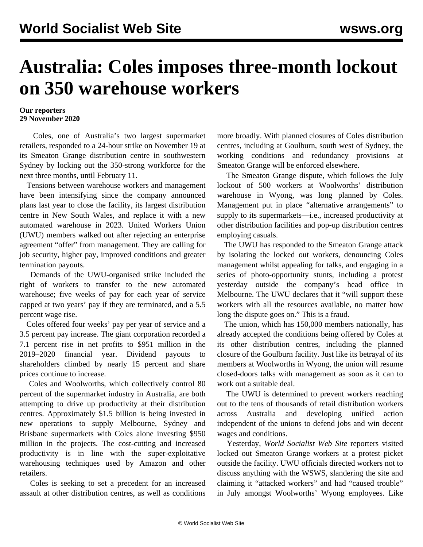## **Australia: Coles imposes three-month lockout on 350 warehouse workers**

## **Our reporters 29 November 2020**

 Coles, one of Australia's two largest supermarket retailers, responded to a 24-hour strike on November 19 at its Smeaton Grange distribution centre in southwestern Sydney by locking out the 350-strong workforce for the next three months, until February 11.

 Tensions between warehouse workers and management have been intensifying since the company announced plans last year to close the facility, its largest distribution centre in New South Wales, and replace it with a new automated warehouse in 2023. United Workers Union (UWU) members walked out after rejecting an enterprise agreement "offer" from management. They are calling for job security, higher pay, improved conditions and greater termination payouts.

 Demands of the UWU-organised strike included the right of workers to transfer to the new automated warehouse; five weeks of pay for each year of service capped at two years' pay if they are terminated, and a 5.5 percent wage rise.

 Coles offered four weeks' pay per year of service and a 3.5 percent pay increase. The giant corporation recorded a 7.1 percent rise in net profits to \$951 million in the 2019–2020 financial year. Dividend payouts to shareholders climbed by nearly 15 percent and share prices continue to increase.

 Coles and Woolworths, which collectively control 80 percent of the supermarket industry in Australia, are both attempting to drive up productivity at their distribution centres. Approximately \$1.5 billion is being invested in new operations to supply Melbourne, Sydney and Brisbane supermarkets with Coles alone investing \$950 million in the projects. The cost-cutting and increased productivity is in line with the super-exploitative warehousing techniques used by Amazon and other retailers.

 Coles is seeking to set a precedent for an increased assault at other distribution centres, as well as conditions

more broadly. With planned closures of Coles distribution centres, including at Goulburn, south west of Sydney, the working conditions and redundancy provisions at Smeaton Grange will be enforced elsewhere.

 The Smeaton Grange dispute, which follows the July lockout of 500 workers at Woolworths' distribution warehouse in Wyong, was long planned by Coles. Management put in place "alternative arrangements" to supply to its supermarkets—i.e., increased productivity at other distribution facilities and pop-up distribution centres employing casuals.

 The UWU has responded to the Smeaton Grange attack by isolating the locked out workers, denouncing Coles management whilst appealing for talks, and engaging in a series of photo-opportunity stunts, including a protest yesterday outside the company's head office in Melbourne. The UWU declares that it "will support these workers with all the resources available, no matter how long the dispute goes on." This is a fraud.

 The union, which has 150,000 members nationally, has already accepted the conditions being offered by Coles at its other distribution centres, including the planned closure of the Goulburn facility. Just like its betrayal of its members at Woolworths in Wyong, the union will resume closed-doors talks with management as soon as it can to work out a suitable deal.

 The UWU is determined to prevent workers reaching out to the tens of thousands of retail distribution workers across Australia and developing unified action independent of the unions to defend jobs and win decent wages and conditions.

 Yesterday, *World Socialist Web Site* reporters visited locked out Smeaton Grange workers at a protest picket outside the facility. UWU officials directed workers not to discuss anything with the WSWS, slandering the site and claiming it "attacked workers" and had "caused trouble" in July amongst Woolworths' Wyong employees. Like